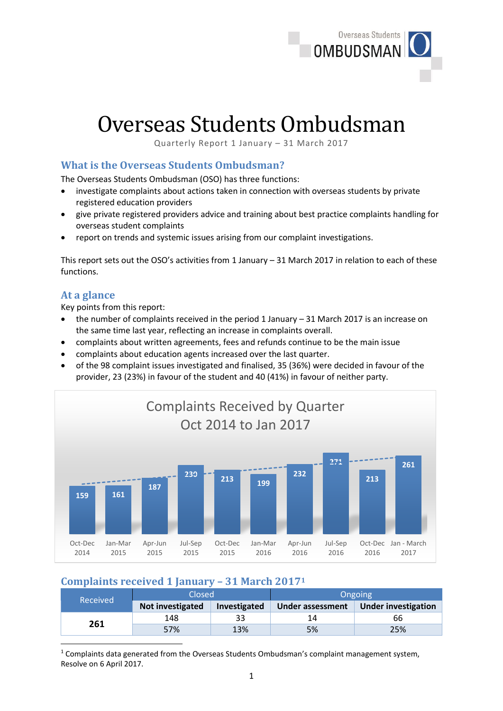

# Overseas Students Ombudsman

Quarterly Report 1 January – 31 March 2017

### **What is the Overseas Students Ombudsman?**

The Overseas Students Ombudsman (OSO) has three functions:

- investigate complaints about actions taken in connection with overseas students by private registered education providers
- give private registered providers advice and training about best practice complaints handling for overseas student complaints
- report on trends and systemic issues arising from our complaint investigations.

This report sets out the OSO's activities from 1 January – 31 March 2017 in relation to each of these functions.

#### **At a glance**

**.** 

Key points from this report:

- the number of complaints received in the period 1 January 31 March 2017 is an increase on the same time last year, reflecting an increase in complaints overall.
- complaints about written agreements, fees and refunds continue to be the main issue
- complaints about education agents increased over the last quarter.
- of the 98 complaint issues investigated and finalised, 35 (36%) were decided in favour of the provider, 23 (23%) in favour of the student and 40 (41%) in favour of neither party.



# **Complaints received 1 January – 31 March 2017<sup>1</sup>**

| Closed<br>Received |                  | Ongoing      |                  |                            |
|--------------------|------------------|--------------|------------------|----------------------------|
|                    | Not investigated | Investigated | Under assessment | <b>Under investigation</b> |
| 261                | 148              |              | 14               | 66                         |
|                    | 57%              | 13%          | 5%               | 25%                        |

<sup>1</sup> Complaints data generated from the Overseas Students Ombudsman's complaint management system, Resolve on 6 April 2017.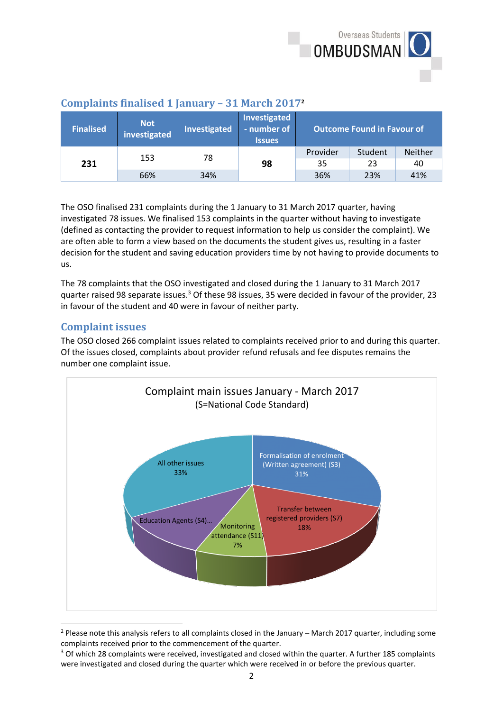

| <b>Finalised</b> | <b>Not</b><br>investigated | Investigated | Investigated<br>- number of<br><b>Issues</b> | <b>Outcome Found in Favour of</b> |         |                |
|------------------|----------------------------|--------------|----------------------------------------------|-----------------------------------|---------|----------------|
| 231              | 153                        | 78           |                                              | Provider                          | Student | <b>Neither</b> |
|                  |                            |              |                                              | 98                                | 35      | 23             |
|                  | 66%                        | 34%          |                                              | 36%                               | 23%     | 41%            |

## **Complaints finalised 1 January – 31 March 2017<sup>2</sup>**

The OSO finalised 231 complaints during the 1 January to 31 March 2017 quarter, having investigated 78 issues. We finalised 153 complaints in the quarter without having to investigate (defined as contacting the provider to request information to help us consider the complaint). We are often able to form a view based on the documents the student gives us, resulting in a faster decision for the student and saving education providers time by not having to provide documents to us.

The 78 complaints that the OSO investigated and closed during the 1 January to 31 March 2017 quarter raised 98 separate issues.<sup>3</sup> Of these 98 issues, 35 were decided in favour of the provider, 23 in favour of the student and 40 were in favour of neither party.

## **Complaint issues**

**.** 

The OSO closed 266 complaint issues related to complaints received prior to and during this quarter. Of the issues closed, complaints about provider refund refusals and fee disputes remains the number one complaint issue.



<sup>2</sup> Please note this analysis refers to all complaints closed in the January – March 2017 quarter, including some complaints received prior to the commencement of the quarter.

<sup>&</sup>lt;sup>3</sup> Of which 28 complaints were received, investigated and closed within the quarter. A further 185 complaints were investigated and closed during the quarter which were received in or before the previous quarter.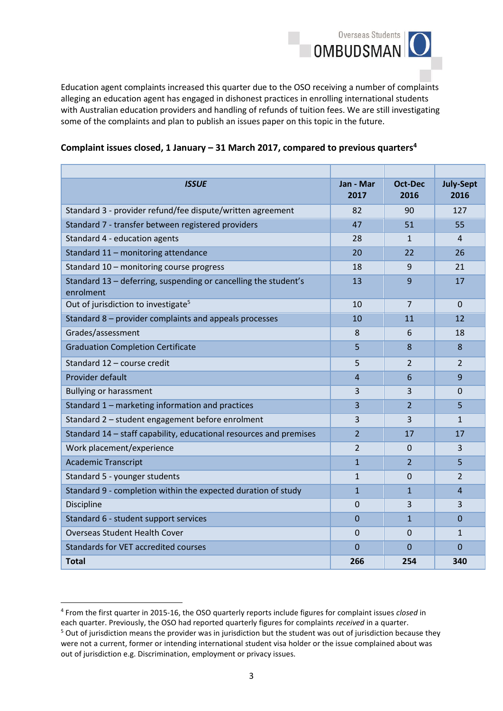

Education agent complaints increased this quarter due to the OSO receiving a number of complaints alleging an education agent has engaged in dishonest practices in enrolling international students with Australian education providers and handling of refunds of tuition fees. We are still investigating some of the complaints and plan to publish an issues paper on this topic in the future.

| <b>ISSUE</b>                                                                 | Jan - Mar<br>2017 | Oct-Dec<br>2016 | <b>July-Sept</b><br>2016 |
|------------------------------------------------------------------------------|-------------------|-----------------|--------------------------|
| Standard 3 - provider refund/fee dispute/written agreement                   | 82                | 90              | 127                      |
| Standard 7 - transfer between registered providers                           | 47                | 51              | 55                       |
| Standard 4 - education agents                                                | 28                | $\mathbf{1}$    | 4                        |
| Standard 11 - monitoring attendance                                          | 20                | 22              | 26                       |
| Standard 10 - monitoring course progress                                     | 18                | 9               | 21                       |
| Standard 13 – deferring, suspending or cancelling the student's<br>enrolment | 13                | 9               | 17                       |
| Out of jurisdiction to investigate <sup>5</sup>                              | 10                | 7               | $\Omega$                 |
| Standard 8 – provider complaints and appeals processes                       | 10                | 11              | 12                       |
| Grades/assessment                                                            | 8                 | 6               | 18                       |
| <b>Graduation Completion Certificate</b>                                     | 5                 | 8               | 8                        |
| Standard 12 - course credit                                                  | 5                 | $\overline{2}$  | $\overline{2}$           |
| Provider default                                                             | 4                 | 6               | 9                        |
| <b>Bullying or harassment</b>                                                | 3                 | 3               | 0                        |
| Standard 1 - marketing information and practices                             | 3                 | $\overline{2}$  | 5                        |
| Standard 2 - student engagement before enrolment                             | 3                 | 3               | $\mathbf{1}$             |
| Standard 14 - staff capability, educational resources and premises           | $\overline{2}$    | 17              | 17                       |
| Work placement/experience                                                    | 2                 | $\Omega$        | 3                        |
| <b>Academic Transcript</b>                                                   | $\mathbf{1}$      | $\overline{2}$  | 5                        |
| Standard 5 - younger students                                                | $\mathbf{1}$      | $\Omega$        | $\overline{2}$           |
| Standard 9 - completion within the expected duration of study                | $\overline{1}$    | $\mathbf{1}$    | $\overline{a}$           |
| <b>Discipline</b>                                                            | $\Omega$          | 3               | 3                        |
| Standard 6 - student support services                                        | $\mathbf 0$       | $\mathbf{1}$    | 0                        |
| <b>Overseas Student Health Cover</b>                                         | $\mathbf 0$       | $\Omega$        | $\mathbf{1}$             |
| Standards for VET accredited courses                                         | $\overline{0}$    | $\Omega$        | $\Omega$                 |
| <b>Total</b>                                                                 | 266               | 254             | 340                      |

#### **Complaint issues closed, 1 January – 31 March 2017, compared to previous quarters<sup>4</sup>**

out of jurisdiction e.g. Discrimination, employment or privacy issues.

**.** 

<sup>4</sup> From the first quarter in 2015-16, the OSO quarterly reports include figures for complaint issues *closed* in each quarter. Previously, the OSO had reported quarterly figures for complaints *received* in a quarter. <sup>5</sup> Out of jurisdiction means the provider was in jurisdiction but the student was out of jurisdiction because they were not a current, former or intending international student visa holder or the issue complained about was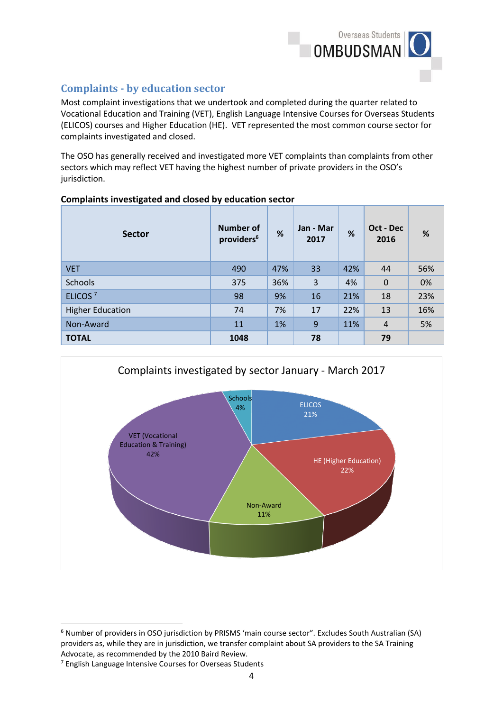

# **Complaints - by education sector**

Most complaint investigations that we undertook and completed during the quarter related to Vocational Education and Training (VET), English Language Intensive Courses for Overseas Students (ELICOS) courses and Higher Education (HE). VET represented the most common course sector for complaints investigated and closed.

The OSO has generally received and investigated more VET complaints than complaints from other sectors which may reflect VET having the highest number of private providers in the OSO's jurisdiction.

|  |  |  | Complaints investigated and closed by education sector |
|--|--|--|--------------------------------------------------------|
|--|--|--|--------------------------------------------------------|

| <b>Sector</b>           | Number of<br>providers <sup>6</sup> | %   | Jan - Mar<br>2017 | %   | Oct - Dec<br>2016 | %   |
|-------------------------|-------------------------------------|-----|-------------------|-----|-------------------|-----|
| <b>VET</b>              | 490                                 | 47% | 33                | 42% | 44                | 56% |
| <b>Schools</b>          | 375                                 | 36% | 3                 | 4%  | $\mathbf 0$       | 0%  |
| ELICOS <sup>7</sup>     | 98                                  | 9%  | 16                | 21% | 18                | 23% |
| <b>Higher Education</b> | 74                                  | 7%  | 17                | 22% | 13                | 16% |
| Non-Award               | 11                                  | 1%  | 9                 | 11% | 4                 | 5%  |
| <b>TOTAL</b>            | 1048                                |     | 78                |     | 79                |     |



**<sup>.</sup>** <sup>6</sup> Number of providers in OSO jurisdiction by PRISMS 'main course sector". Excludes South Australian (SA) providers as, while they are in jurisdiction, we transfer complaint about SA providers to the SA Training Advocate, as recommended by the 2010 Baird Review.

<sup>7</sup> English Language Intensive Courses for Overseas Students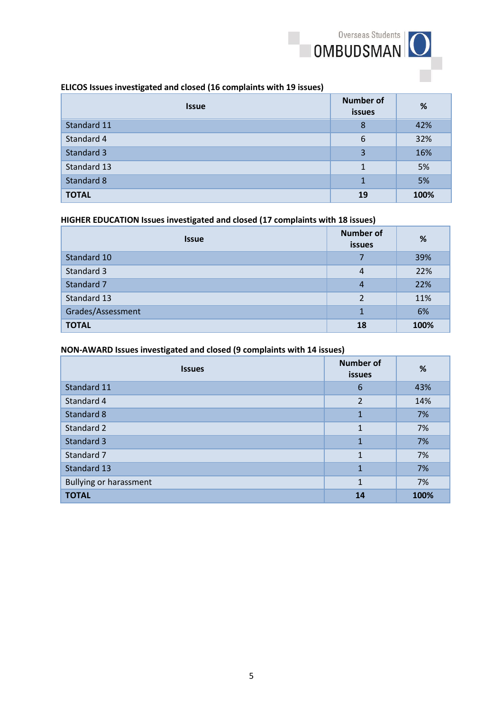

#### **ELICOS Issues investigated and closed (16 complaints with 19 issues)**

| <b>Issue</b> | <b>Number of</b><br>issues | %    |
|--------------|----------------------------|------|
| Standard 11  | 8                          | 42%  |
| Standard 4   | 6                          | 32%  |
| Standard 3   | 3                          | 16%  |
| Standard 13  | 1                          | 5%   |
| Standard 8   | $\mathbf{1}$               | 5%   |
| <b>TOTAL</b> | 19                         | 100% |

#### **HIGHER EDUCATION Issues investigated and closed (17 complaints with 18 issues)**

| <b>Issue</b>      | <b>Number of</b><br><b>issues</b> | %    |
|-------------------|-----------------------------------|------|
| Standard 10       | 7                                 | 39%  |
| Standard 3        | 4                                 | 22%  |
| Standard 7        | 4                                 | 22%  |
| Standard 13       | $\overline{2}$                    | 11%  |
| Grades/Assessment |                                   | 6%   |
| <b>TOTAL</b>      | 18                                | 100% |

#### **NON-AWARD Issues investigated and closed (9 complaints with 14 issues)**

| <b>Issues</b>                 | <b>Number of</b><br><b>issues</b> | %    |
|-------------------------------|-----------------------------------|------|
| Standard 11                   | 6                                 | 43%  |
| Standard 4                    | $\overline{2}$                    | 14%  |
| Standard 8                    | $\mathbf{1}$                      | 7%   |
| Standard 2                    | $\mathbf{1}$                      | 7%   |
| Standard 3                    | $\mathbf{1}$                      | 7%   |
| Standard 7                    | 1                                 | 7%   |
| Standard 13                   | $\mathbf{1}$                      | 7%   |
| <b>Bullying or harassment</b> | 1                                 | 7%   |
| <b>TOTAL</b>                  | 14                                | 100% |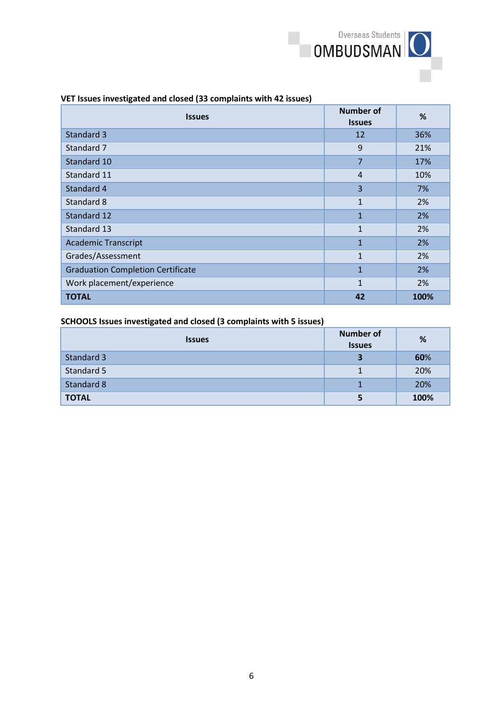

#### **VET Issues investigated and closed (33 complaints with 42 issues)**

| <b>Issues</b>                            | <b>Number of</b><br><b>Issues</b> | %    |
|------------------------------------------|-----------------------------------|------|
| Standard 3                               | 12                                | 36%  |
| Standard 7                               | 9                                 | 21%  |
| Standard 10                              | 7                                 | 17%  |
| Standard 11                              | $\overline{4}$                    | 10%  |
| Standard 4                               | 3                                 | 7%   |
| Standard 8                               | $\mathbf{1}$                      | 2%   |
| Standard 12                              | $\mathbf{1}$                      | 2%   |
| Standard 13                              | $\mathbf{1}$                      | 2%   |
| <b>Academic Transcript</b>               | $\mathbf{1}$                      | 2%   |
| Grades/Assessment                        | $\mathbf{1}$                      | 2%   |
| <b>Graduation Completion Certificate</b> | $\mathbf{1}$                      | 2%   |
| Work placement/experience                | $\mathbf{1}$                      | 2%   |
| <b>TOTAL</b>                             | 42                                | 100% |

#### **SCHOOLS Issues investigated and closed (3 complaints with 5 issues)**

| <b>Issues</b> | <b>Number of</b><br><b>Issues</b> | %    |
|---------------|-----------------------------------|------|
| Standard 3    |                                   | 60%  |
| Standard 5    |                                   | 20%  |
| Standard 8    |                                   | 20%  |
| <b>TOTAL</b>  |                                   | 100% |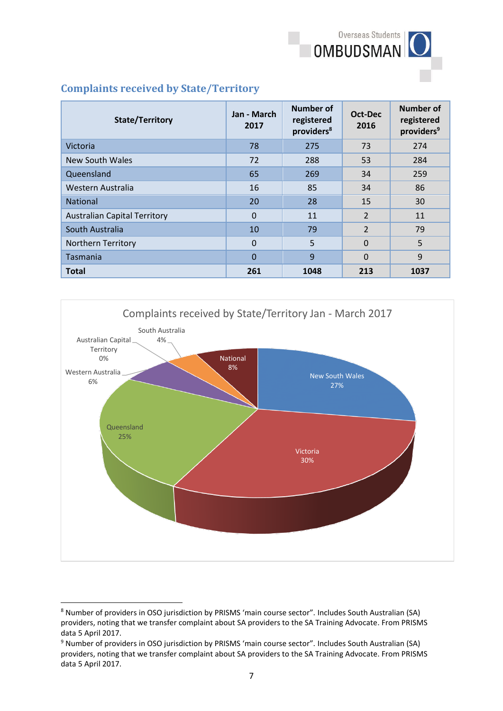

## **Complaints received by State/Territory**

| <b>State/Territory</b>              | Jan - March<br>2017 | <b>Number of</b><br>registered<br>providers <sup>8</sup> | Oct-Dec<br>2016 | <b>Number of</b><br>registered<br>providers <sup>9</sup> |
|-------------------------------------|---------------------|----------------------------------------------------------|-----------------|----------------------------------------------------------|
| Victoria                            | 78                  | 275                                                      | 73              | 274                                                      |
| <b>New South Wales</b>              | 72                  | 288                                                      | 53              | 284                                                      |
| Queensland                          | 65                  | 269                                                      | 34              | 259                                                      |
| Western Australia                   | 16                  | 85                                                       | 34              | 86                                                       |
| <b>National</b>                     | 20                  | 28                                                       | 15              | 30                                                       |
| <b>Australian Capital Territory</b> | $\Omega$            | 11                                                       | 2               | 11                                                       |
| South Australia                     | 10                  | 79                                                       | $\overline{2}$  | 79                                                       |
| <b>Northern Territory</b>           | $\Omega$            | 5                                                        | $\Omega$        | 5                                                        |
| Tasmania                            | $\Omega$            | 9                                                        | $\Omega$        | 9                                                        |
| <b>Total</b>                        | 261                 | 1048                                                     | 213             | 1037                                                     |



<sup>8</sup> Number of providers in OSO jurisdiction by PRISMS 'main course sector". Includes South Australian (SA) providers, noting that we transfer complaint about SA providers to the SA Training Advocate. From PRISMS data 5 April 2017.

**.** 

<sup>9</sup> Number of providers in OSO jurisdiction by PRISMS 'main course sector". Includes South Australian (SA) providers, noting that we transfer complaint about SA providers to the SA Training Advocate. From PRISMS data 5 April 2017.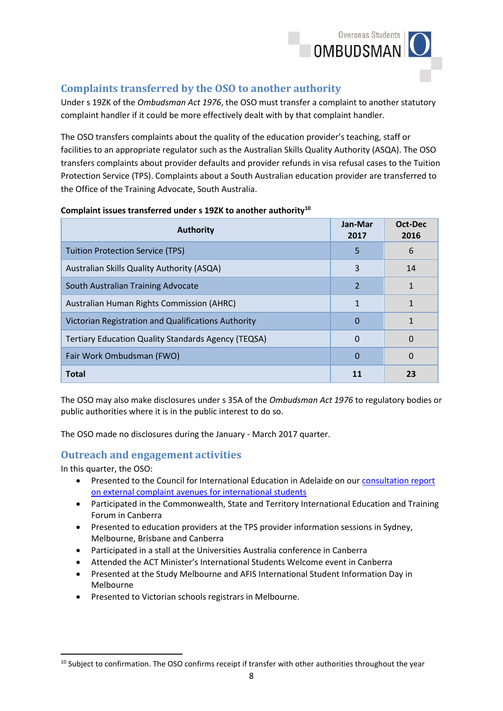

## **Complaints transferred by the OSO to another authority**

Under s 19ZK of the *Ombudsman Act 1976*, the OSO must transfer a complaint to another statutory complaint handler if it could be more effectively dealt with by that complaint handler.

The OSO transfers complaints about the quality of the education provider's teaching, staff or facilities to an appropriate regulator such as the Australian Skills Quality Authority (ASQA). The OSO transfers complaints about provider defaults and provider refunds in visa refusal cases to the Tuition Protection Service (TPS). Complaints about a South Australian education provider are transferred to the Office of the Training Advocate, South Australia.

| <b>Authority</b>                                           | Jan-Mar<br>2017 | Oct-Dec<br>2016 |
|------------------------------------------------------------|-----------------|-----------------|
| Tuition Protection Service (TPS)                           | 5               | 6               |
| Australian Skills Quality Authority (ASQA)                 | 3               | 14              |
| South Australian Training Advocate                         | $\overline{2}$  | 1               |
| Australian Human Rights Commission (AHRC)                  | 1               | 1               |
| Victorian Registration and Qualifications Authority        | $\Omega$        | 1               |
| <b>Tertiary Education Quality Standards Agency (TEQSA)</b> | 0               | $\Omega$        |
| Fair Work Ombudsman (FWO)                                  | 0               | $\Omega$        |
| <b>Total</b>                                               | 11              | 23              |

#### **Complaint issues transferred under s 19ZK to another authority<sup>10</sup>**

The OSO may also make disclosures under s 35A of the *Ombudsman Act 1976* to regulatory bodies or public authorities where it is in the public interest to do so.

The OSO made no disclosures during the January - March 2017 quarter.

#### **Outreach and engagement activities**

In this quarter, the OSO:

1

- Presented to the Council for International Education in Adelaide on ou[r consultation report](http://www.ombudsman.gov.au/__data/assets/pdf_file/0022/42826/Overseas-Students-Ombudsman-Consultation-Report-External-complaint-avenues-for-international-students-A453043.pdf)  [on external complaint avenues for international students](http://www.ombudsman.gov.au/__data/assets/pdf_file/0022/42826/Overseas-Students-Ombudsman-Consultation-Report-External-complaint-avenues-for-international-students-A453043.pdf)
- Participated in the Commonwealth, State and Territory International Education and Training Forum in Canberra
- Presented to education providers at the TPS provider information sessions in Sydney, Melbourne, Brisbane and Canberra
- Participated in a stall at the Universities Australia conference in Canberra
- Attended the ACT Minister's International Students Welcome event in Canberra
- Presented at the Study Melbourne and AFIS International Student Information Day in Melbourne
- Presented to Victorian schools registrars in Melbourne.

<sup>&</sup>lt;sup>10</sup> Subject to confirmation. The OSO confirms receipt if transfer with other authorities throughout the year